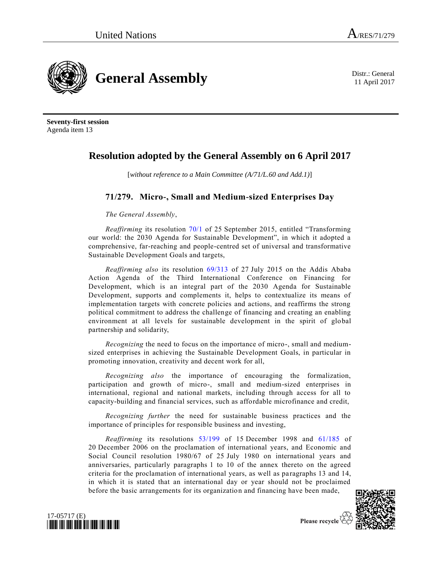**General Assembly** Distr.: General District General

11 April 2017

**Seventy-first session** Agenda item 13

## **Resolution adopted by the General Assembly on 6 April 2017**

[*without reference to a Main Committee (A/71/L.60 and Add.1)*]

## **71/279. Micro-, Small and Medium-sized Enterprises Day**

*The General Assembly*,

*Reaffirming* its resolution [70/1](http://undocs.org/A/RES/70/1) of 25 September 2015, entitled "Transforming our world: the 2030 Agenda for Sustainable Development", in which it adopted a comprehensive, far-reaching and people-centred set of universal and transformative Sustainable Development Goals and targets,

*Reaffirming also* its resolution [69/313](http://undocs.org/A/RES/69/313) of 27 July 2015 on the Addis Ababa Action Agenda of the Third International Conference on Financing for Development, which is an integral part of the 2030 Agenda for Sustainable Development, supports and complements it, helps to contextualize its means of implementation targets with concrete policies and actions, and reaffirms the strong political commitment to address the challenge of financing and creating an enabling environment at all levels for sustainable development in the spirit of global partnership and solidarity,

*Recognizing* the need to focus on the importance of micro-, small and mediumsized enterprises in achieving the Sustainable Development Goals, in particular in promoting innovation, creativity and decent work for all,

*Recognizing also* the importance of encouraging the formalization, participation and growth of micro-, small and medium-sized enterprises in international, regional and national markets, including through access for all to capacity-building and financial services, such as affordable microfinance and credit,

*Recognizing further* the need for sustainable business practices and the importance of principles for responsible business and investing,

*Reaffirming* its resolutions [53/199](http://undocs.org/A/RES/53/199) of 15 December 1998 and [61/185](http://undocs.org/A/RES/61/185) of 20 December 2006 on the proclamation of international years, and Economic and Social Council resolution 1980/67 of 25 July 1980 on international years and anniversaries, particularly paragraphs 1 to 10 of the annex thereto on the agreed criteria for the proclamation of international years, as well as paragraphs 13 and 14, in which it is stated that an international day or year should not be proclaimed before the basic arrangements for its organization and financing have been made,





Please recycle